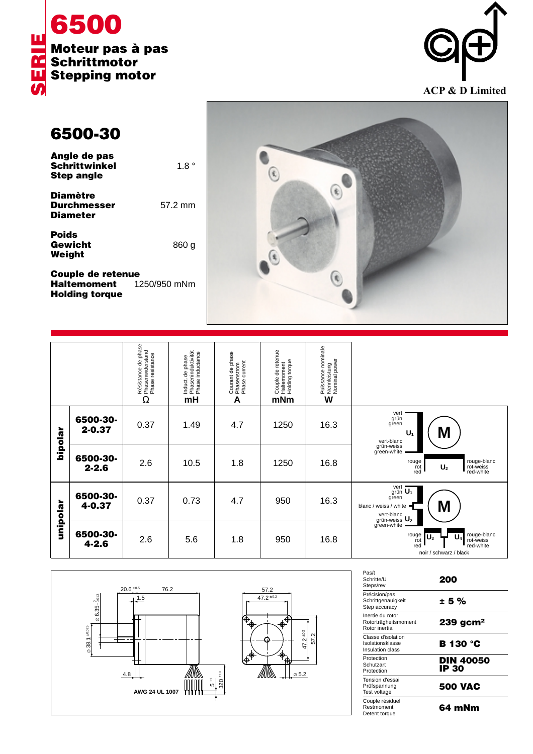



## **6500-30**

| Angle de pas<br><b>Schrittwinkel</b><br><b>Step angle</b> | $1.8^{\circ}$ |
|-----------------------------------------------------------|---------------|
| <b>Diamètre</b><br><b>Durchmesser</b><br><b>Diameter</b>  | 57.2 mm       |

**Poids Gewicht** 860 g **Weight**

**Couple de retenue<br>Haltemoment** 1250/950 mNm **Haltemoment Holding torque**



|          |                        | Résistance de phase<br>Phasenwiderstand<br>Phase resistance<br>Ω | Induct. de phase<br>Phaseninduktivität<br>Phase inductance<br>mH | Courant de phase<br>Phasenstrom<br>Phase current<br>A | Couple de retenue<br>  Hattemoment<br>  Holding torque<br>mNm | , Puissance nominale<br>• Nennleistung<br>• Nominal power<br>W |                                                                                                                                                                           |
|----------|------------------------|------------------------------------------------------------------|------------------------------------------------------------------|-------------------------------------------------------|---------------------------------------------------------------|----------------------------------------------------------------|---------------------------------------------------------------------------------------------------------------------------------------------------------------------------|
| hipolar  | 6500-30-<br>$2 - 0.37$ | 0.37                                                             | 1.49                                                             | 4.7                                                   | 1250                                                          | 16.3                                                           | vert<br>grün<br>green<br>M<br>$\mathsf{U}_1$<br>vert-blanc<br>grün-weiss<br>green-white<br>rouge-blanc<br>rot-weiss<br>red-white<br>rouge<br>rot<br>red<br>U <sub>2</sub> |
|          | 6500-30-<br>$2 - 2.6$  | 2.6                                                              | 10.5                                                             | 1.8                                                   | 1250                                                          | 16.8                                                           |                                                                                                                                                                           |
| unipolar | 6500-30-<br>4-0.37     | 0.37                                                             | 0.73                                                             | 4.7                                                   | 950                                                           | 16.3                                                           | vert $\overline{U_1}$<br>green<br>M<br>blanc / weiss / white<br>vert-blanc<br>grün-weiss U <sub>2</sub><br>green-white                                                    |
|          | 6500-30-<br>$4 - 2.6$  | 2.6                                                              | 5.6                                                              | 1.8                                                   | 950                                                           | 16.8                                                           | rouge-blanc<br>rot-weiss<br>red-white<br>rouge<br>rot<br>red<br>U<br>$\mathsf{U}_3$<br>noir / schwarz / black                                                             |



| Pas/t<br>Schritte/U<br>Steps/rev                           | 200                       |
|------------------------------------------------------------|---------------------------|
| Précision/pas<br>Schrittgenauigkeit<br>Step accuracy       | ± 5%                      |
| Inertie du rotor<br>Rotorträgheitsmoment<br>Rotor inertia  | $239$ gcm <sup>2</sup>    |
| Classe d'isolation<br>Isolationsklasse<br>Insulation class | B 130 °C                  |
| Protection<br>Schutzart<br>Protection                      | <b>DIN 40050</b><br>IP 30 |
| Tension d'essai<br>Prüfspannung<br>Test voltage            | <b>500 VAC</b>            |
| Couple résiduel<br>Restmoment<br>Detent torque             | 64 mNm                    |